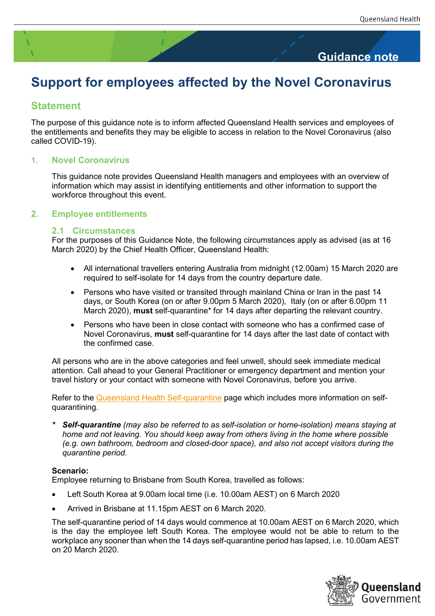## **Guidance note**

# **Support for employees affected by the Novel Coronavirus**

## **Statement**

The purpose of this guidance note is to inform affected Queensland Health services and employees of the entitlements and benefits they may be eligible to access in relation to the Novel Coronavirus (also called COVID-19).

#### **1. Novel Coronavirus**

This guidance note provides Queensland Health managers and employees with an overview of information which may assist in identifying entitlements and other information to support the workforce throughout this event.

#### **2. Employee entitlements**

#### **2.1 Circumstances**

For the purposes of this Guidance Note, the following circumstances apply as advised (as at 16 March 2020) by the Chief Health Officer, Queensland Health:

- All international travellers entering Australia from midnight (12.00am) 15 March 2020 are required to self-isolate for 14 days from the country departure date.
- Persons who have visited or transited through mainland China or Iran in the past 14 days, or South Korea (on or after 9.00pm 5 March 2020), Italy (on or after 6.00pm 11 March 2020), **must** self-quarantine\* for 14 days after departing the relevant country.
- Persons who have been in close contact with someone who has a confirmed case of Novel Coronavirus, **must** self-quarantine for 14 days after the last date of contact with the confirmed case.

All persons who are in the above categories and feel unwell, should seek immediate medical attention. Call ahead to your General Practitioner or emergency department and mention your travel history or your contact with someone with Novel Coronavirus, before you arrive.

Refer to the [Queensland Health Self-quarantine](https://www.health.qld.gov.au/clinical-practice/guidelines-procedures/diseases-infection/diseases/coronavirus/public-info-novel-coronavirus/self-quarantine) page which includes more information on selfquarantining.

*\* Self-quarantine (may also be referred to as self-isolation or home-isolation) means staying at home and not leaving. You should keep away from others living in the home where possible (e.g. own bathroom, bedroom and closed-door space), and also not accept visitors during the quarantine period.*

#### **Scenario:**

Employee returning to Brisbane from South Korea, travelled as follows:

- Left South Korea at 9.00am local time (i.e. 10.00am AEST) on 6 March 2020
- Arrived in Brisbane at 11.15pm AEST on 6 March 2020.

The self-quarantine period of 14 days would commence at 10.00am AEST on 6 March 2020, which is the day the employee left South Korea. The employee would not be able to return to the workplace any sooner than when the 14 days self-quarantine period has lapsed, i.e. 10.00am AEST on 20 March 2020.

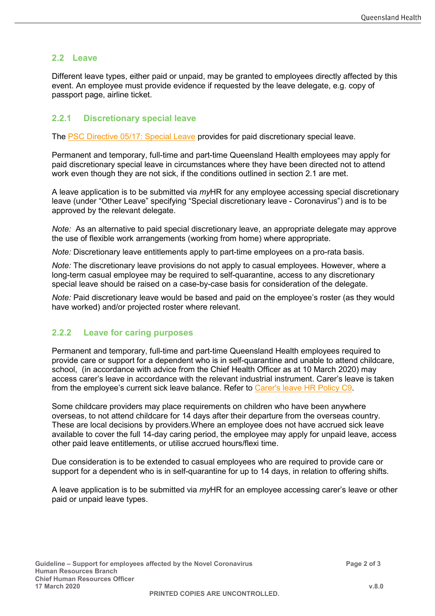## **2.2 Leave**

Different leave types, either paid or unpaid, may be granted to employees directly affected by this event. An employee must provide evidence if requested by the leave delegate, e.g. copy of passport page, airline ticket.

### **2.2.1 Discretionary special leave**

The [PSC Directive 05/17: Special Leave](https://www.forgov.qld.gov.au/system/files/documents/2017-05-special-leave.pdf?v=1490331635) provides for paid discretionary special leave.

Permanent and temporary, full-time and part-time Queensland Health employees may apply for paid discretionary special leave in circumstances where they have been directed not to attend work even though they are not sick, if the conditions outlined in section 2.1 are met.

A leave application is to be submitted via *my*HR for any employee accessing special discretionary leave (under "Other Leave" specifying "Special discretionary leave - Coronavirus") and is to be approved by the relevant delegate.

*Note:* As an alternative to paid special discretionary leave, an appropriate delegate may approve the use of flexible work arrangements (working from home) where appropriate.

*Note:* Discretionary leave entitlements apply to part-time employees on a pro-rata basis.

*Note:* The discretionary leave provisions do not apply to casual employees. However, where a long-term casual employee may be required to self-quarantine, access to any discretionary special leave should be raised on a case-by-case basis for consideration of the delegate.

*Note:* Paid discretionary leave would be based and paid on the employee's roster (as they would have worked) and/or projected roster where relevant.

#### **2.2.2 Leave for caring purposes**

Permanent and temporary, full-time and part-time Queensland Health employees required to provide care or support for a dependent who is in self-quarantine and unable to attend childcare, school, (in accordance with advice from the Chief Health Officer as at 10 March 2020) may access carer's leave in accordance with the relevant industrial instrument. Carer's leave is taken from the employee's current sick leave balance. Refer to [Carer's leave HR Policy C9.](https://www.health.qld.gov.au/__data/assets/pdf_file/0042/395997/qh-pol-109.pdf)

Some childcare providers may place requirements on children who have been anywhere overseas, to not attend childcare for 14 days after their departure from the overseas country. These are local decisions by providers.Where an employee does not have accrued sick leave available to cover the full 14-day caring period, the employee may apply for unpaid leave, access other paid leave entitlements, or utilise accrued hours/flexi time.

Due consideration is to be extended to casual employees who are required to provide care or support for a dependent who is in self-quarantine for up to 14 days, in relation to offering shifts.

A leave application is to be submitted via *my*HR for an employee accessing carer's leave or other paid or unpaid leave types.